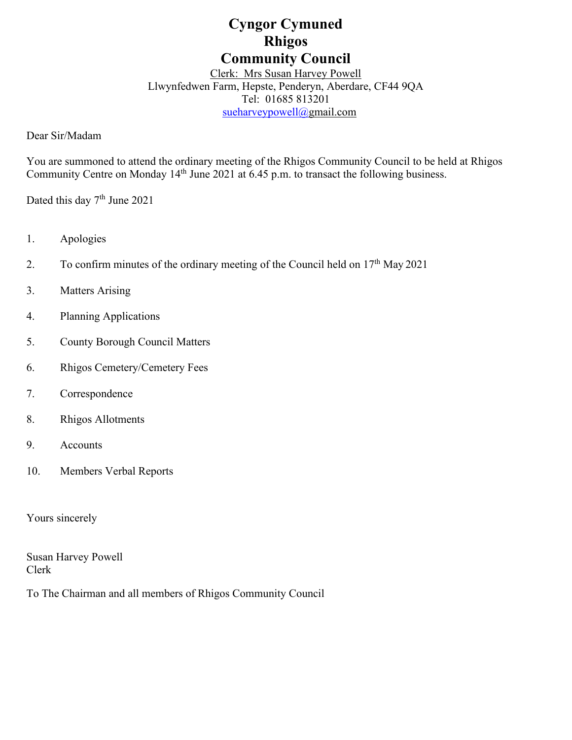# **Cyngor Cymuned Rhigos Community Council**

Clerk: Mrs Susan Harvey Powell Llwynfedwen Farm, Hepste, Penderyn, Aberdare, CF44 9QA Tel: 01685 813201 [sueharveypowell@g](mailto:sharveypowell@comin-infants.co.uk)mail.com

Dear Sir/Madam

You are summoned to attend the ordinary meeting of the Rhigos Community Council to be held at Rhigos Community Centre on Monday 14<sup>th</sup> June 2021 at 6.45 p.m. to transact the following business.

Dated this day 7<sup>th</sup> June 2021

- 1. Apologies
- 2. To confirm minutes of the ordinary meeting of the Council held on  $17<sup>th</sup>$  May 2021
- 3. Matters Arising
- 4. Planning Applications
- 5. County Borough Council Matters
- 6. Rhigos Cemetery/Cemetery Fees
- 7. Correspondence
- 8. Rhigos Allotments
- 9. Accounts
- 10. Members Verbal Reports

Yours sincerely

Susan Harvey Powell Clerk

To The Chairman and all members of Rhigos Community Council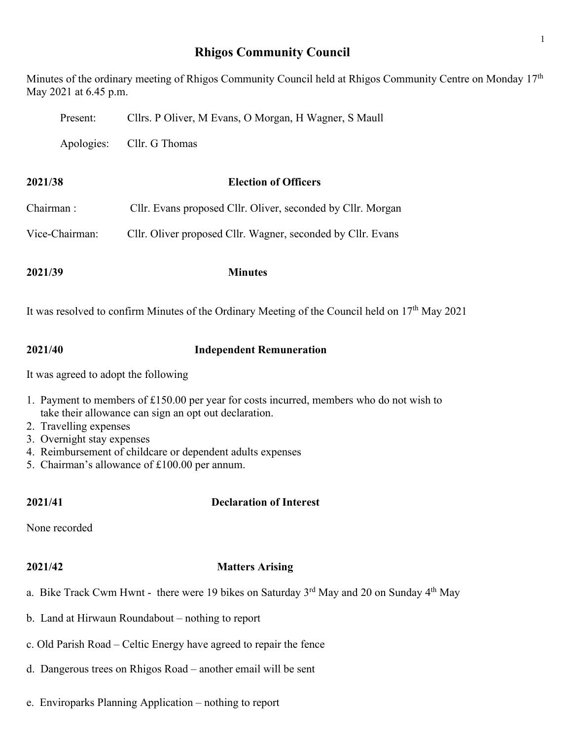# **Rhigos Community Council**

Minutes of the ordinary meeting of Rhigos Community Council held at Rhigos Community Centre on Monday 17<sup>th</sup> May 2021 at 6.45 p.m.

| Present:       | Cllrs. P Oliver, M Evans, O Morgan, H Wagner, S Maull                                             |  |  |
|----------------|---------------------------------------------------------------------------------------------------|--|--|
| Apologies:     | Cllr. G Thomas                                                                                    |  |  |
| 2021/38        | <b>Election of Officers</b>                                                                       |  |  |
| Chairman :     | Cllr. Evans proposed Cllr. Oliver, seconded by Cllr. Morgan                                       |  |  |
| Vice-Chairman: | Cllr. Oliver proposed Cllr. Wagner, seconded by Cllr. Evans                                       |  |  |
| 2021/39        | <b>Minutes</b>                                                                                    |  |  |
|                | It was resolved to confirm Minutes of the Ordinary Meeting of the Council held on $17th$ May 2021 |  |  |

# **2021/40 Independent Remuneration**

It was agreed to adopt the following

- 1. Payment to members of £150.00 per year for costs incurred, members who do not wish to take their allowance can sign an opt out declaration.
- 2. Travelling expenses
- 3. Overnight stay expenses
- 4. Reimbursement of childcare or dependent adults expenses
- 5. Chairman's allowance of £100.00 per annum.

# **2021/41 Declaration of Interest**

None recorded

# **2021/42 Matters Arising**

- a. Bike Track Cwm Hwnt there were 19 bikes on Saturday 3<sup>rd</sup> May and 20 on Sunday 4<sup>th</sup> May
- b. Land at Hirwaun Roundabout nothing to report
- c. Old Parish Road Celtic Energy have agreed to repair the fence
- d. Dangerous trees on Rhigos Road another email will be sent
- e. Enviroparks Planning Application nothing to report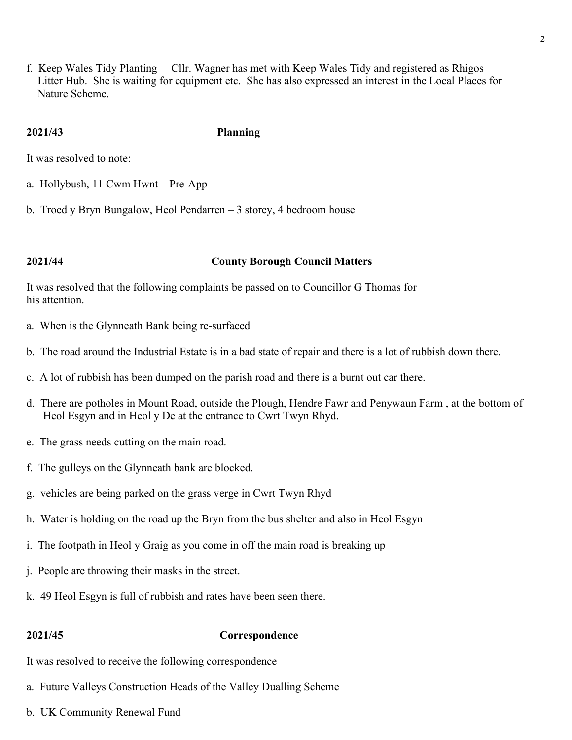f. Keep Wales Tidy Planting – Cllr. Wagner has met with Keep Wales Tidy and registered as Rhigos Litter Hub. She is waiting for equipment etc. She has also expressed an interest in the Local Places for Nature Scheme.

### **2021/43 Planning**

It was resolved to note:

- a. Hollybush, 11 Cwm Hwnt Pre-App
- b. Troed y Bryn Bungalow, Heol Pendarren 3 storey, 4 bedroom house

### **2021/44 County Borough Council Matters**

It was resolved that the following complaints be passed on to Councillor G Thomas for his attention.

- a. When is the Glynneath Bank being re-surfaced
- b. The road around the Industrial Estate is in a bad state of repair and there is a lot of rubbish down there.
- c. A lot of rubbish has been dumped on the parish road and there is a burnt out car there.
- d. There are potholes in Mount Road, outside the Plough, Hendre Fawr and Penywaun Farm , at the bottom of Heol Esgyn and in Heol y De at the entrance to Cwrt Twyn Rhyd.
- e. The grass needs cutting on the main road.
- f. The gulleys on the Glynneath bank are blocked.
- g. vehicles are being parked on the grass verge in Cwrt Twyn Rhyd
- h. Water is holding on the road up the Bryn from the bus shelter and also in Heol Esgyn
- i. The footpath in Heol y Graig as you come in off the main road is breaking up
- j. People are throwing their masks in the street.
- k. 49 Heol Esgyn is full of rubbish and rates have been seen there.

### **2021/45 Correspondence**

It was resolved to receive the following correspondence

- a. Future Valleys Construction Heads of the Valley Dualling Scheme
- b. UK Community Renewal Fund